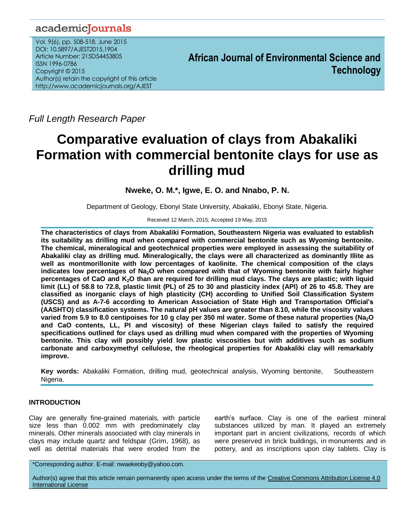# academicJournals

Vol. 9(6), pp. 508-518, June 2015 DOI: 10.5897/AJEST2015.1904 Article Number: 215D54453805 ISSN 1996-0786 Copyright © 2015 Author(s) retain the copyright of this article http://www.academicjournals.org/AJEST

**African Journal of Environmental Science and Technology**

*Full Length Research Paper*

# **Comparative evaluation of clays from Abakaliki Formation with commercial bentonite clays for use as drilling mud**

**Nweke, O. M.\*, Igwe, E. O. and Nnabo, P. N.**

Department of Geology, Ebonyi State University, Abakaliki, Ebonyi State, Nigeria.

Received 12 March, 2015; Accepted 19 May, 2015

**The characteristics of clays from Abakaliki Formation, Southeastern Nigeria was evaluated to establish its suitability as drilling mud when compared with commercial bentonite such as Wyoming bentonite. The chemical, mineralogical and geotechnical properties were employed in assessing the suitability of Abakaliki clay as drilling mud. Mineralogically, the clays were all characterized as dominantly Illite as well as montmorillonite with low percentages of kaolinite. The chemical composition of the clays indicates low percentages of Na2O when compared with that of Wyoming bentonite with fairly higher percentages of CaO and K2O than are required for drilling mud clays. The clays are plastic; with liquid limit (LL) of 58.8 to 72.8, plastic limit (PL) of 25 to 30 and plasticity index (API) of 26 to 45.8. They are classified as inorganic clays of high plasticity (CH) according to Unified Soil Classification System (USCS) and as A-7-6 according to American Association of State High and Transportation Official's (AASHTO) classification systems. The natural pH values are greater than 8.10, while the viscosity values varied from 5.9 to 8.0 centipoises for 10 g clay per 350 ml water. Some of these natural properties (Na2O and CaO contents, LL, PI and viscosity) of these Nigerian clays failed to satisfy the required specifications outlined for clays used as drilling mud when compared with the properties of Wyoming bentonite. This clay will possibly yield low plastic viscosities but with additives such as sodium carbonate and carboxymethyl cellulose, the rheological properties for Abakaliki clay will remarkably improve.** 

**Key words:** Abakaliki Formation, drilling mud, geotechnical analysis, Wyoming bentonite, Southeastern Nigeria.

# **INTRODUCTION**

Clay are generally fine-grained materials, with particle size less than 0.002 mm with predominately clay minerals. Other minerals associated with clay minerals in clays may include quartz and feldspar (Grim, 1968), as well as detrital materials that were eroded from the earth"s surface. Clay is one of the earliest mineral substances utilized by man. It played an extremely important part in ancient civilizations, records of which were preserved in brick buildings, in monuments and in pottery, and as inscriptions upon clay tablets. Clay is

\*Corresponding author. E-mail: nwaekeoby@yahoo.com.

Author(s) agree that this article remain permanently open access under the terms of the Creative Commons Attribution License 4.0 [International License](http://creativecommons.org/licenses/by/4.0/deed.en_US)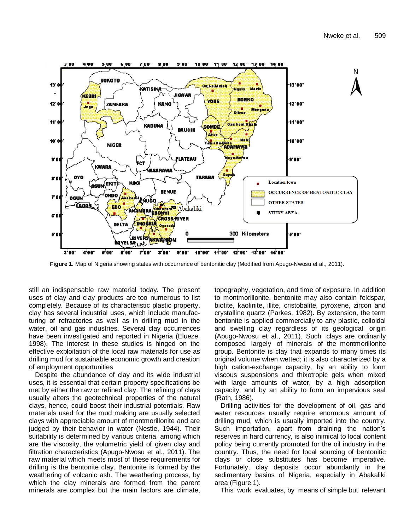

**Figure 1.** Map of Nigeria showing states with occurrence of bentonitic clay (Modified from Apugo-Nwosu et al., 2011).

still an indispensable raw material today. The present uses of clay and clay products are too numerous to list completely. Because of its characteristic plastic property, clay has several industrial uses, which include manufacturing of refractories as well as in drilling mud in the water, oil and gas industries. Several clay occurrences have been investigated and reported in Nigeria (Elueze, 1998). The interest in these studies is hinged on the effective exploitation of the local raw materials for use as drilling mud for sustainable economic growth and creation of employment opportunities

Despite the abundance of clay and its wide industrial uses, it is essential that certain property specifications be met by either the raw or refined clay. The refining of clays usually alters the geotechnical properties of the natural clays, hence, could boost their industrial potentials. Raw materials used for the mud making are usually selected clays with appreciable amount of montmorillonite and are judged by their behavior in water (Nestle, 1944). Their suitability is determined by various criteria, among which are the viscosity, the volumetric yield of given clay and filtration characteristics (Apugo-Nwosu et al., 2011). The raw material which meets most of these requirements for drilling is the bentonite clay. Bentonite is formed by the weathering of volcanic ash. The weathering process, by which the clay minerals are formed from the parent minerals are complex but the main factors are climate, topography, vegetation, and time of exposure. In addition to montmorillonite, bentonite may also contain feldspar, biotite, kaolinite, illite, cristobalite, pyroxene, zircon and crystalline quartz (Parkes, 1982). By extension, the term bentonite is applied commercially to any plastic, colloidal and swelling clay regardless of its geological origin (Apugo-Nwosu et al., 2011). Such clays are ordinarily composed largely of minerals of the montmorillonite group. Bentonite is clay that expands to many times its original volume when wetted; it is also characterized by a high cation-exchange capacity, by an ability to form viscous suspensions and thixotropic gels when mixed with large amounts of water, by a high adsorption capacity, and by an ability to form an impervious seal (Rath, 1986).

Drilling activities for the development of oil, gas and water resources usually require enormous amount of drilling mud, which is usually imported into the country. Such importation, apart from draining the nation's reserves in hard currency, is also inimical to local content policy being currently promoted for the oil industry in the country. Thus, the need for local sourcing of bentonitic clays or close substitutes has become imperative. Fortunately, clay deposits occur abundantly in the sedimentary basins of Nigeria, especially in Abakaliki area (Figure 1).

This work evaluates, by means of simple but relevant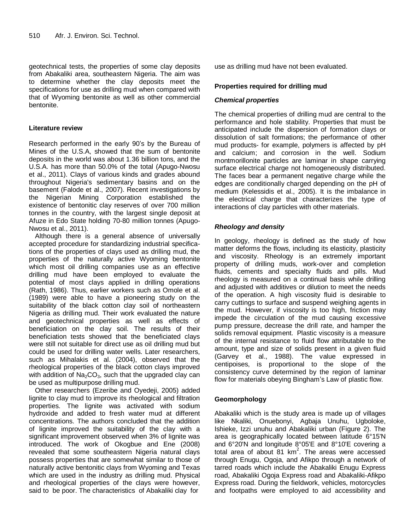geotechnical tests, the properties of some clay deposits from Abakaliki area, southeastern Nigeria. The aim was to determine whether the clay deposits meet the specifications for use as drilling mud when compared with that of Wyoming bentonite as well as other commercial bentonite.

#### **Literature review**

Research performed in the early 90"s by the Bureau of Mines of the U.S.A, showed that the sum of bentonite deposits in the world was about 1.36 billion tons, and the U.S.A. has more than 50.0% of the total (Apugo-Nwosu et al., 2011). Clays of various kinds and grades abound throughout Nigeria's sedimentary basins and on the basement (Falode et al., 2007). Recent investigations by the Nigerian Mining Corporation established the existence of bentonitic clay reserves of over 700 million tonnes in the country, with the largest single deposit at Afuze in Edo State holding 70-80 million tonnes (Apugo-Nwosu et al., 2011).

Although there is a general absence of universally accepted procedure for standardizing industrial specifications of the properties of clays used as drilling mud, the properties of the naturally active Wyoming bentonite which most oil drilling companies use as an effective drilling mud have been employed to evaluate the potential of most clays applied in drilling operations (Rath, 1986). Thus, earlier workers such as Omole et al. (1989) were able to have a pioneering study on the suitability of the black cotton clay soil of northeastern Nigeria as drilling mud. Their work evaluated the nature and geotechnical properties as well as effects of beneficiation on the clay soil. The results of their beneficiation tests showed that the beneficiated clays were still not suitable for direct use as oil drilling mud but could be used for drilling water wells. Later researchers, such as Mihalakis et al. (2004), observed that the rheological properties of the black cotton clays improved with addition of  $Na<sub>2</sub>CO<sub>3</sub>$ , such that the upgraded clay can be used as multipurpose drilling mud.

Other researchers (Ezeribe and Oyedeji, 2005) added lignite to clay mud to improve its rheological and filtration properties. The lignite was activated with sodium hydroxide and added to fresh water mud at different concentrations. The authors concluded that the addition of lignite improved the suitability of the clay with a significant improvement observed when 3% of lignite was introduced. The work of Okogbue and Ene (2008) revealed that some southeastern Nigeria natural clays possess properties that are somewhat similar to those of naturally active bentonitic clays from Wyoming and Texas which are used in the industry as drilling mud. Physical and rheological properties of the clays were however, said to be poor. The characteristics of Abakaliki clay for

use as drilling mud have not been evaluated.

#### **Properties required for drilling mud**

#### *Chemical properties*

The chemical properties of drilling mud are central to the performance and hole stability. Properties that must be anticipated include the dispersion of formation clays or dissolution of salt formations; the performance of other mud products- for example, polymers is affected by pH and calcium; and corrosion in the well. Sodium montmorillonite particles are laminar in shape carrying surface electrical charge not homogeneously distributed. The faces bear a permanent negative charge while the edges are conditionally charged depending on the pH of medium (Kelessidis et al., 2005). It is the imbalance in the electrical charge that characterizes the type of interactions of clay particles with other materials.

### *Rheology and density*

In geology, rheology is defined as the study of how matter deforms the flows, including its elasticity, plasticity and viscosity. Rheology is an extremely important property of drilling muds, work-over and completion fluids, cements and specialty fluids and pills. Mud rheology is measured on a continual basis while drilling and adjusted with additives or dilution to meet the needs of the operation. A high viscosity fluid is desirable to carry cuttings to surface and suspend weighing agents in the mud. However, if viscosity is too high, friction may impede the circulation of the mud causing excessive pump pressure, decrease the drill rate, and hamper the solids removal equipment. Plastic viscosity is a measure of the internal resistance to fluid flow attributable to the amount, type and size of solids present in a given fluid (Garvey et al., 1988). The value expressed in centipoises, is proportional to the slope of the consistency curve determined by the region of laminar flow for materials obeying Bingham's Law of plastic flow.

#### **Geomorphology**

Abakaliki which is the study area is made up of villages like Nkaliki, Onuebonyi, Agbaja Unuhu, Ugboloke, Ishieke, Izzi unuhu and Abakaliki urban (Figure 2). The area is geographically located between latitude 6°15'N and 6°20'N and longitude 8°05'E and 8°10'E covering a total area of about  $81 \text{ km}^2$ . The areas were accessed through Enugu, Ogoja, and Afikpo through a network of tarred roads which include the Abakaliki Enugu Express road, Abakaliki Ogoja Express road and Abakaliki-Afikpo Express road. During the fieldwork, vehicles, motorcycles and footpaths were employed to aid accessibility and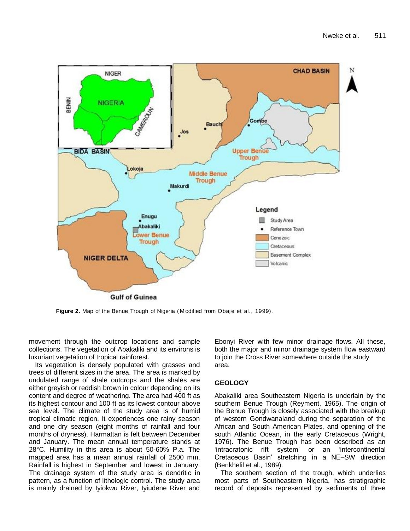

**Figure 2.** Map of the Benue Trough of Nigeria ( Modified from Obaje et al., 1999).

movement through the outcrop locations and sample collections. The vegetation of Abakaliki and its environs is luxuriant vegetation of tropical rainforest.

Its vegetation is densely populated with grasses and trees of different sizes in the area. The area is marked by undulated range of shale outcrops and the shales are either greyish or reddish brown in colour depending on its content and degree of weathering. The area had 400 ft as its highest contour and 100 ft as its lowest contour above sea level. The climate of the study area is of humid tropical climatic region. It experiences one rainy season and one dry season (eight months of rainfall and four months of dryness). Harmattan is felt between December and January. The mean annual temperature stands at 28°C. Humility in this area is about 50-60% P.a. The mapped area has a mean annual rainfall of 2500 mm. Rainfall is highest in September and lowest in January. The drainage system of the study area is dendritic in pattern, as a function of lithologic control. The study area is mainly drained by Iyiokwu River, Iyiudene River and

Ebonyi River with few minor drainage flows. All these, both the major and minor drainage system flow eastward to join the Cross River somewhere outside the study area.

#### **GEOLOGY**

Abakaliki area Southeastern Nigeria is underlain by the southern Benue Trough (Reyment, 1965). The origin of the Benue Trough is closely associated with the breakup of western Gondwanaland during the separation of the African and South American Plates, and opening of the south Atlantic Ocean, in the early Cretaceous (Wright, 1976). The Benue Trough has been described as an 'intracratonic rift system' or an 'intercontinental system' or an 'intercontinental Cretaceous Basin" stretching in a NE–SW direction (Benkhelil et al., 1989).

The southern section of the trough, which underlies most parts of Southeastern Nigeria, has stratigraphic record of deposits represented by sediments of three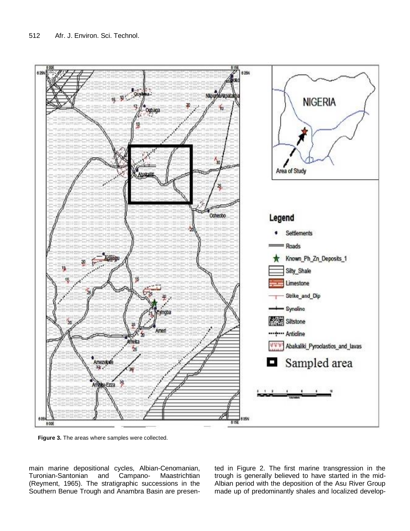

**Figure 3.** The areas where samples were collected.

main marine depositional cycles, Albian-Cenomanian, Turonian-Santonian and Campano- Maastrichtian (Reyment, 1965). The stratigraphic successions in the Southern Benue Trough and Anambra Basin are presented in Figure 2. The first marine transgression in the trough is generally believed to have started in the mid-Albian period with the deposition of the Asu River Group made up of predominantly shales and localized develop-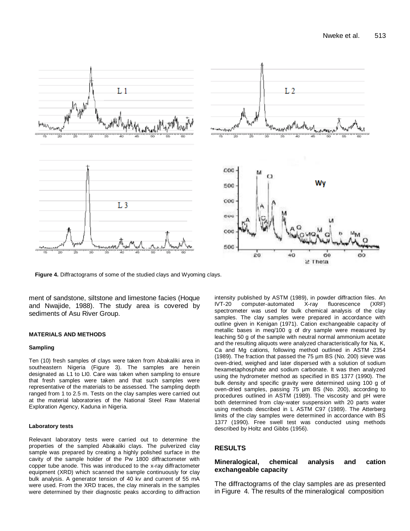

**Figure 4.** Diffractograms of some of the studied clays and Wyoming clays.

ment of sandstone, siltstone and limestone facies (Hoque and Nwajide, 1988). The study area is covered by sediments of Asu River Group.

#### **MATERIALS AND METHODS**

#### **Sampling**

Ten (10) fresh samples of clays were taken from Abakaliki area in southeastern Nigeria (Figure 3). The samples are herein designated as L1 to LI0. Care was taken when sampling to ensure that fresh samples were taken and that such samples were representative of the materials to be assessed. The sampling depth ranged from 1 to 2.5 m. Tests on the clay samples were carried out at the material laboratories of the National Steel Raw Material Exploration Agency, Kaduna in Nigeria.

#### **Laboratory tests**

Relevant laboratory tests were carried out to determine the properties of the sampled Abakaliki clays. The pulverized clay sample was prepared by creating a highly polished surface in the cavity of the sample holder of the Pw 1800 diffractometer with copper tube anode. This was introduced to the x-ray diffractometer equipment (XRD) which scanned the sample continuously for clay bulk analysis. A generator tension of 40 kv and current of 55 mA were used. From the XRD traces, the clay minerals in the samples were determined by their diagnostic peaks according to diffraction intensity published by ASTM (1989), in powder diffraction files. An IVT-20 computer-automated X-ray fluorescence (XRF) spectrometer was used for bulk chemical analysis of the clay samples. The clay samples were prepared in accordance with outline given in Kenigan (1971). Cation exchangeable capacity of metallic bases in meq/100 g of dry sample were measured by leaching 50 g of the sample with neutral normal ammonium acetate and the resulting aliquots were analyzed characteristically for Na, K, Ca and Mg cations, following method outlined in ASTM 2354 (1989). The fraction that passed the 75 µm BS (No. 200) sieve was oven-dried, weighed and later dispersed with a solution of sodium hexametaphosphate and sodium carbonate. It was then analyzed using the hydrometer method as specified in BS 1377 (1990). The bulk density and specific gravity were determined using 100 g of oven-dried samples, passing 75 µm BS (No. 200), according to procedures outlined in ASTM (1989). The viscosity and pH were both determined from clay-water suspension with 20 parts water using methods described in L ASTM C97 (1989). The Atterberg limits of the clay samples were determined in accordance with BS 1377 (1990). Free swell test was conducted using methods described by Holtz and Gibbs (1956).

#### **RESULTS**

#### **Mineralogical, chemical analysis and cation exchangeable capacity**

The diffractograms of the clay samples are as presented in Figure 4. The results of the mineralogical composition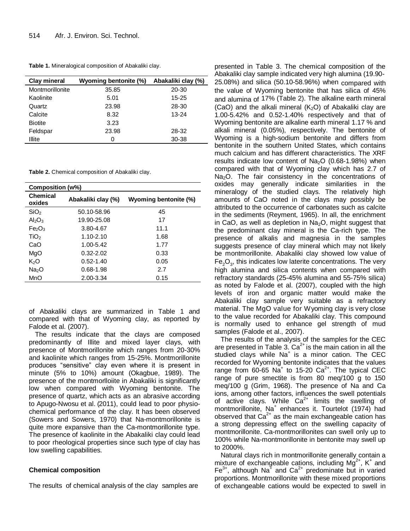**Table 1.** Mineralogical composition of Abakaliki clay.

| <b>Clay mineral</b> | Wyoming bentonite (%) | Abakaliki clay (%) |
|---------------------|-----------------------|--------------------|
| Montmorillonite     | 35.85                 | 20-30              |
| Kaolinite           | 5.01                  | $15 - 25$          |
| Quartz              | 23.98                 | 28-30              |
| Calcite             | 8.32                  | 13-24              |
| <b>Biotite</b>      | 3.23                  |                    |
| Feldspar            | 23.98                 | 28-32              |
| Illite              | Ω                     | 30-38              |

**Table 2.** Chemical composition of Abakaliki clay.

| Composition (w%)               |                    |                       |  |  |  |  |  |
|--------------------------------|--------------------|-----------------------|--|--|--|--|--|
| <b>Chemical</b><br>oxides      | Abakaliki clay (%) | Wyoming bentonite (%) |  |  |  |  |  |
| SiO <sub>2</sub>               | 50.10-58.96        | 45                    |  |  |  |  |  |
| $Al_2O_3$                      | 19.90-25.08        | 17                    |  |  |  |  |  |
| Fe <sub>2</sub> O <sub>3</sub> | 3.80-4.67          | 11.1                  |  |  |  |  |  |
| TiO <sub>2</sub>               | $1.10 - 2.10$      | 1.68                  |  |  |  |  |  |
| CaO                            | 1.00-5.42          | 1.77                  |  |  |  |  |  |
| MgO                            | 0.32-2.02          | 0.33                  |  |  |  |  |  |
| K <sub>2</sub> O               | $0.52 - 1.40$      | 0.05                  |  |  |  |  |  |
| Na∍O                           | 0.68-1.98          | 2.7                   |  |  |  |  |  |
| MnO                            | 2.00-3.34          | 0.15                  |  |  |  |  |  |

of Abakaliki clays are summarized in Table 1 and compared with that of Wyoming clay, as reported by Falode et al. (2007).

The results indicate that the clays are composed predominantly of Illite and mixed layer clays, with presence of Montmorillonite which ranges from 20-30% and kaolinite which ranges from 15-25%. Montmorillonite produces "sensitive" clay even where it is present in minute (5% to 10%) amount (Okagbue, 1989). The presence of the montmorlloiite in Abakaliki is significantly low when compared with Wyoming bentonite. The presence of quartz, which acts as an abrasive according to Apugo-Nwosu et al. (2011), could lead to poor physiochemical performance of the clay. It has been observed (Sowers and Sowers, 1970) that Na-montmorillonite is quite more expansive than the Ca-montmorillonite type. The presence of kaolinite in the Abakaliki clay could lead to poor rheological properties since such type of clay has low swelling capabilities.

#### **Chemical composition**

The results of chemical analysis of the clay samples are

presented in Table 3. The chemical composition of the Abakaliki clay sample indicated very high alumina (19.90- 25.08%) and silica (50.10-58.96%) when compared with the value of Wyoming bentonite that has silica of 45% and alumina of 17% (Table 2). The alkaline earth mineral (CaO) and the alkali mineral  $(K_2O)$  of Abakaliki clay are 1.00-5.42% and 0.52-1.40% respectively and that of Wyoming bentonite are alkaline earth mineral 1.17 % and alkali mineral (0.05%), respectively. The bentonite of Wyoming is a high-sodium bentonite and differs from bentonite in the southern United States, which contains much calcium and has different characteristics. The XRF results indicate low content of  $Na<sub>2</sub>O$  (0.68-1.98%) when compared with that of Wyoming clay which has 2.7 of  $Na<sub>2</sub>O$ . The fair consistency in the concentrations of oxides may generally indicate similarities in the mineralogy of the studied clays. The relatively high amounts of CaO noted in the clays may possibly be attributed to the occurrence of carbonates such as calcite in the sediments (Reyment, 1965). In all, the enrichment in CaO, as well as depletion in  $Na<sub>2</sub>O$ , might suggest that the predominant clay mineral is the Ca-rich type. The presence of alkalis and magnesia in the samples suggests presence of clay mineral which may not likely be montmorillonite. Abakaliki clay showed low value of  $\text{Fe}_{2}\text{O}_{3}$ , this indicates low laterite concentrations. The very high alumina and silica contents when compared with refractory standards (25-45% alumina and 55-75% silica) as noted by Falode et al. (2007), coupled with the high levels of iron and organic matter would make the Abakaliki clay sample very suitable as a refractory material. The MgO value for Wyoming clay is very close to the value recorded for Abakaliki clay. This compound is normally used to enhance gel strength of mud samples (Falode et al., 2007).

The results of the analysis of the samples for the CEC are presented in Table 3.  $Ca<sup>2+</sup>$  is the main cation in all the studied clays while  $Na<sup>+</sup>$  is a minor cation. The CEC recorded for Wyoming bentonite indicates that the values range from  $60-65$  Na<sup>+</sup> to 15-20 Ca<sup>2+</sup>. The typical CEC range of pure smectite is from 80 meq/100 g to 150 meq/100 g (Grim, 1968). The presence of Na and Ca ions, among other factors, influences the swell potentials of active clays. While  $Ca^{2+}$  limits the swelling of montmorillonite, Na<sup>+</sup> enhances it. Tourtelot (1974) had observed that  $Ca^{2+}$  as the main exchangeable cation has a strong depressing effect on the swelling capacity of montmorillonite. Ca-montmorillonites can swell only up to 100% while Na-montmorillonite in bentonite may swell up to 2000%.

Natural clays rich in montmorillonite generally contain a mixture of exchangeable cations, including  $Mg^{2+}$ , K<sup>+</sup> and Fe<sup>3+</sup>, although Na<sup>+</sup> and Ca<sup>2+</sup> predominate but in varied proportions. Montmorillonite with these mixed proportions of exchangeable cations would be expected to swell in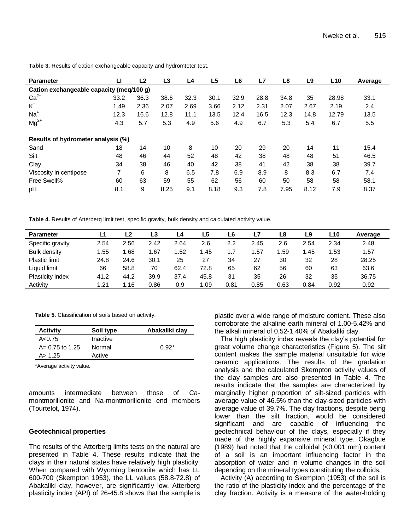| <b>Parameter</b>                         | Ы    | L <sub>2</sub> | L <sub>3</sub> | L4   | L <sub>5</sub> | L6   | L7   | L8   | L9   | L10   | Average |
|------------------------------------------|------|----------------|----------------|------|----------------|------|------|------|------|-------|---------|
| Cation exchangeable capacity (meq/100 g) |      |                |                |      |                |      |      |      |      |       |         |
| $Ca2+$                                   | 33.2 | 36.3           | 38.6           | 32.3 | 30.1           | 32.9 | 28.8 | 34.8 | 35   | 28.98 | 33.1    |
| $K^+$                                    | 1.49 | 2.36           | 2.07           | 2.69 | 3.66           | 2.12 | 2.31 | 2.07 | 2.67 | 2.19  | 2.4     |
| $Na+$                                    | 12.3 | 16.6           | 12.8           | 11.1 | 13.5           | 12.4 | 16.5 | 12.3 | 14.8 | 12.79 | 13.5    |
| $Mg^{2+}$                                | 4.3  | 5.7            | 5.3            | 4.9  | 5.6            | 4.9  | 6.7  | 5.3  | 5.4  | 6.7   | 5.5     |
| Results of hydrometer analysis (%)       |      |                |                |      |                |      |      |      |      |       |         |
| Sand                                     | 18   | 14             | 10             | 8    | 10             | 20   | 29   | 20   | 14   | 11    | 15.4    |
| Silt                                     | 48   | 46             | 44             | 52   | 48             | 42   | 38   | 48   | 48   | 51    | 46.5    |
| Clay                                     | 34   | 38             | 46             | 40   | 42             | 38   | 41   | 42   | 38   | 38    | 39.7    |
| Viscosity in centipose                   | 7    | 6              | 8              | 6.5  | 7.8            | 6.9  | 8.9  | 8    | 8.3  | 6.7   | 7.4     |
| Free Swell%                              | 60   | 63             | 59             | 55   | 62             | 56   | 60   | 50   | 58   | 58    | 58.1    |
| pH                                       | 8.1  | 9              | 8.25           | 9.1  | 8.18           | 9.3  | 7.8  | 7.95 | 8.12 | 7.9   | 8.37    |

**Table 3.** Results of cation exchangeable capacity and hydromteter test.

**Table 4.** Results of Atterberg limit test, specific gravity, bulk density and calculated activity value.

| <b>Parameter</b>     |      | L <sub>2</sub> | L3   | L4   | L5    | L6   | L7   | L8   | L9   | L10  | Average |
|----------------------|------|----------------|------|------|-------|------|------|------|------|------|---------|
| Specific gravity     | 2.54 | 2.56           | 2.42 | 2.64 | 2.6   | 2.2  | 2.45 | 2.6  | 2.54 | 2.34 | 2.48    |
| <b>Bulk density</b>  | .55  | .68            | .67  | .52  | 1.45  | 1.7  | .57  | .59  | 1.45 | .53  | 1.57    |
| <b>Plastic limit</b> | 24.8 | 24.6           | 30.1 | 25   | 27    | 34   | 27   | 30   | 32   | 28   | 28.25   |
| Liquid limit         | 66   | 58.8           | 70   | 62.4 | 72.8  | 65   | 62   | 56   | 60   | 63   | 63.6    |
| Plasticity index     | 41.2 | 44.2           | 39.9 | 37.4 | 45.8  | 31   | 35   | 26   | 32   | 35   | 36.75   |
| Activity             | 1.21 | 1.16           | 0.86 | 0.9  | 09. ا | 0.81 | 0.85 | 0.63 | 0.84 | 0.92 | 0.92    |

**Table 5.** Classification of soils based on activity.

| <b>Activity</b>    | Soil type | Abakaliki clay |
|--------------------|-----------|----------------|
| A < 0.75           | Inactive  |                |
| $A = 0.75$ to 1.25 | Normal    | $0.92*$        |
| A > 1.25           | Active    |                |

\*Average activity value.

amounts intermediate between those of Camontmorillonite and Na-montmorillonite end members (Tourtelot, 1974).

#### **Geotechnical properties**

The results of the Atterberg limits tests on the natural are presented in Table 4. These results indicate that the clays in their natural states have relatively high plasticity. When compared with Wyoming bentonite which has LL 600-700 (Skempton 1953), the LL values (58.8-72.8) of Abakaliki clay, however, are significantly low. Atterberg plasticity index (API) of 26-45.8 shows that the sample is plastic over a wide range of moisture content. These also corroborate the alkaline earth mineral of 1.00-5.42% and the alkali mineral of 0.52-1.40% of Abakaliki clay.

The high plasticity index reveals the clay"s potential for great volume change characteristics (Figure 5). The silt content makes the sample material unsuitable for wide ceramic applications. The results of the gradation analysis and the calculated Skempton activity values of the clay samples are also presented in Table 4. The results indicate that the samples are characterized by marginally higher proportion of silt-sized particles with average value of 46.5% than the clay-sized particles with average value of 39.7%. The clay fractions, despite being lower than the silt fraction, would be considered significant and are capable of influencing the geotechnical behaviour of the clays, especially if they made of the highly expansive mineral type. Okagbue (1989) had noted that the colloidal (<0.001 mm) content of a soil is an important influencing factor in the absorption of water and in volume changes in the soil depending on the mineral types constituting the colloids.

Activity (A) according to Skempton (1953) of the soil is the ratio of the plasticity index and the percentage of the clay fraction. Activity is a measure of the water-holding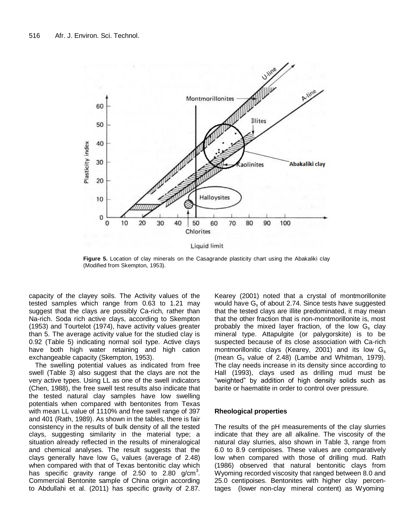

**Figure 5.** Location of clay minerals on the Casagrande plasticity chart using the Abakaliki clay (Modified from Skempton, 1953).

capacity of the clayey soils. The Activity values of the tested samples which range from 0.63 to 1.21 may suggest that the clays are possibly Ca-rich, rather than Na-rich. Soda rich active clays, according to Skempton (1953) and Tourtelot (1974), have activity values greater than 5. The average activity value for the studied clay is 0.92 (Table 5) indicating normal soil type. Active clays have both high water retaining and high cation exchangeable capacity (Skempton, 1953).

The swelling potential values as indicated from free swell (Table 3) also suggest that the clays are not the very active types. Using LL as one of the swell indicators (Chen, 1988), the free swell test results also indicate that the tested natural clay samples have low swelling potentials when compared with bentonites from Texas with mean LL value of 1110% and free swell range of 397 and 401 (Rath, 1989). As shown in the tables, there is fair consistency in the results of bulk density of all the tested clays, suggesting similarity in the material type; a situation already reflected in the results of mineralogical and chemical analyses. The result suggests that the clays generally have low  $G_s$  values (average of 2.48) when compared with that of Texas bentonitic clay which has specific gravity range of 2.50 to 2.80 g/cm<sup>3</sup>. Commercial Bentonite sample of China origin according to Abdullahi et al. (2011) has specific gravity of 2.87.

Kearey (2001) noted that a crystal of montmorillonite would have  $G_s$  of about 2.74. Since tests have suggested that the tested clays are illite predominated, it may mean that the other fraction that is non-montmorillonite is, most probably the mixed layer fraction, of the low  $G_s$  clay mineral type. Attapulgite (or palygorskite) is to be suspected because of its close association with Ca-rich montmorillonitic clays (Kearey, 2001) and its low  $G_s$ (mean  $G_s$  value of 2.48) (Lambe and Whitman, 1979). The clay needs increase in its density since according to Hall (1993), clays used as drilling mud must be "weighted" by addition of high density solids such as barite or haematite in order to control over pressure.

#### **Rheological properties**

The results of the pH measurements of the clay slurries indicate that they are all alkaline. The viscosity of the natural clay slurries, also shown in Table 3, range from 6.0 to 8.9 centipoises. These values are comparatively low when compared with those of drilling mud. Rath (1986) observed that natural bentonitic clays from Wyoming recorded viscosity that ranged between 8.0 and 25.0 centipoises. Bentonites with higher clay percentages (lower non-clay mineral content) as Wyoming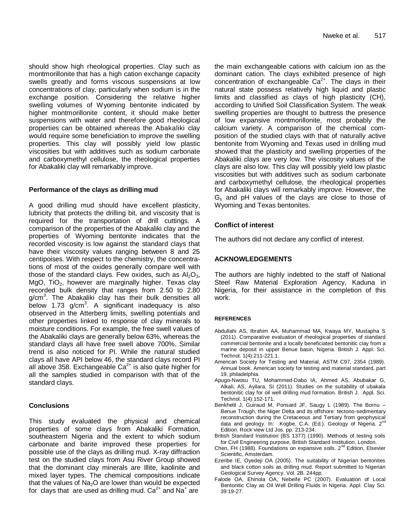should show high rheological properties. Clay such as montmorillonite that has a high cation exchange capacity swells greatly and forms viscous suspensions at low concentrations of clay, particularly when sodium is in the exchange position. Considering the relative higher swelling volumes of Wyoming bentonite indicated by higher montmorillonite content, it should make better suspensions with water and therefore good rheological properties can be obtained whereas the Abakaliki clay would require some beneficiation to improve the swelling properties. This clay will possibly yield low plastic viscosities but with additives such as sodium carbonate and carboxymethyl cellulose, the rheological properties for Abakaliki clay will remarkably improve.

### **Performance of the clays as drilling mud**

A good drilling mud should have excellent plasticity, lubricity that protects the drilling bit, and viscosity that is required for the transportation of drill cuttings. A comparison of the properties of the Abakaliki clay and the properties of Wyoming bentonite indicates that the recorded viscosity is low against the standard clays that have their viscosity values ranging between 8 and 25 centipoises. With respect to the chemistry, the concentrations of most of the oxides generally compare well with those of the standard clays. Few oxides, such as  $Al_2O_3$ , MgO,  $TiO<sub>2</sub>$ , however are marginally higher. Texas clay recorded bulk density that ranges from 2.50 to 2.80 g/cm<sup>3</sup>. The Abakaliki clay has their bulk densities all below 1.73  $g/cm<sup>3</sup>$ . A significant inadequacy is also observed in the Atterberg limits, swelling potentials and other properties linked to response of clay minerals to moisture conditions. For example, the free swell values of the Abakaliki clays are generally below 63%, whereas the standard clays all have free swell above 700%. Similar trend is also noticed for PI. While the natural studied clays all have API below 46, the standard clays record PI all above 358. Exchangeable  $Ca<sup>2+</sup>$  is also quite higher for all the samples studied in comparison with that of the standard clays.

#### **Conclusions**

This study evaluated the physical and chemical properties of some clays from Abakaliki Formation, southeastern Nigeria and the extent to which sodium carbonate and barite improved these properties for possible use of the clays as drilling mud. X-ray diffraction test on the studied clays from Asu River Group showed that the dominant clay minerals are Illite, kaolinite and mixed layer types. The chemical compositions indicate that the values of  $Na<sub>2</sub>O$  are lower than would be expected for clays that are used as drilling mud.  $Ca^{2+}$  and  $Na^{+}$  are

the main exchangeable cations with calcium ion as the dominant cation. The clays exhibited presence of high concentration of exchangeable  $Ca<sup>2+</sup>$ . The clays in their natural state possess relatively high liquid and plastic limits and classified as clays of high plasticity (CH), according to Unified Soil Classification System. The weak swelling properties are thought to buttress the presence of low expansive montmorillonite, most probably the calcium variety. A comparison of the chemical composition of the studied clays with that of naturally active bentonite from Wyoming and Texas used in drilling mud showed that the plasticity and swelling properties of the Abakaliki clays are very low. The viscosity values of the clays are also low. This clay will possibly yield low plastic viscosities but with additives such as sodium carbonate and carboxymethyl cellulose, the rheological properties for Abakaliki clays will remarkably improve. However, the  $G_s$  and pH values of the clays are close to those of Wyoming and Texas bentonites.

# **Conflict of interest**

The authors did not declare any conflict of interest.

#### **ACKNOWLEDGEMENTS**

The authors are highly indebted to the staff of National Steel Raw Material Exploration Agency, Kaduna in Nigeria, for their assistance in the completion of this work.

#### **REFERENCES**

- Abdullahi AS, Ibrahim AA, Muhammad MA, Kwaya MY, Mustapha S (2011). Comparative evaluation of rheological properties of standard commercial bentonite and a locally beneficiated bentonitic clay from a marine deposit in upper Benue basin, Nigeria. British J. Appl. Sci. Technol. 1(4):211-221.1.
- American Society for Testing and Material, ASTM C97, 2354 (1989). Annual book. American society for testing and material standard, part 19, philadelphia.
- Apugo-Nwosu TU, Mohammed-Dabo IA, Ahmed AS, Abubakar G, Alkali, AS, Ayilara, SI (2011). Studies on the suitability of ubakala bentonitic clay for oil well drilling mud formation. British J. Appl. Sci. Technol. 1(4):152-171.
- Benkhelil J, Guiraud M, Ponsard JF, Saugy L (1989). The Bornu Benue Trough, the Niger Delta and its offshore: tectono-sedimentary reconstruction during the Cretaceous and Tertiary from geophysical data and geology. In: Kogbe, C.A. (Ed.). Geology of Nigeria. 2<sup>nd</sup> Edition. Rock view Ltd Jos. pp. 213-234.
- British Standard Institution (BS 1377) (1990). Methods of testing soils for Civil Engineering purpose, British Standard Institution, London.
- Chen, FH (1988). Foundations on expansive soils.  $2^{nd}$  Edition, Elsevier Scientific, Amsterdam.
- Ezeribe IE, Oyedeji OA (2005). The suitability of Nigerian bentonites and black cotton soils as drilling mud. Report submitted to Nigerian Geological Survey Agency. Vol. 2B. 244pp.
- Falode OA, Ehinola OA, Nebeife PC (2007). Evaluation of Local Bentonitic Clay as Oil Well Drilling Fluids in Nigeria. Appl. Clay Sci. 39:19-27.